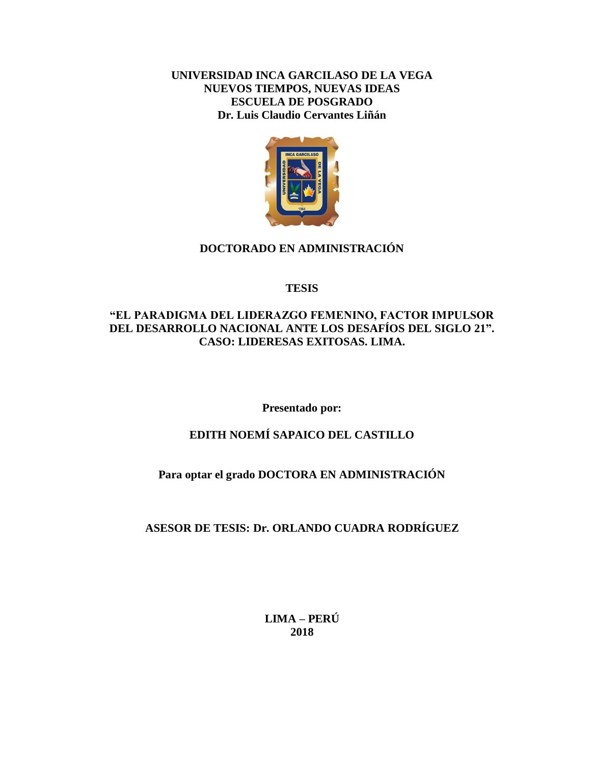## **UNIVERSIDAD INCA GARCILASO DE LA VEGA NUEVOS TIEMPOS, NUEVAS IDEAS ESCUELA DE POSGRADO Dr. Luis Claudio Cervantes Liñán**



## **DOCTORADO EN ADMINISTRACIÓN**

## **TESIS**

## **"EL PARADIGMA DEL LIDERAZGO FEMENINO, FACTOR IMPULSOR DEL DESARROLLO NACIONAL ANTE LOS DESAFÍOS DEL SIGLO 21". CASO: LIDERESAS EXITOSAS. LIMA.**

**Presentado por:**

# **EDITH NOEMÍ SAPAICO DEL CASTILLO**

## **Para optar el grado DOCTORA EN ADMINISTRACIÓN**

# **ASESOR DE TESIS: Dr. ORLANDO CUADRA RODRÍGUEZ**

**LIMA – PERÚ 2018**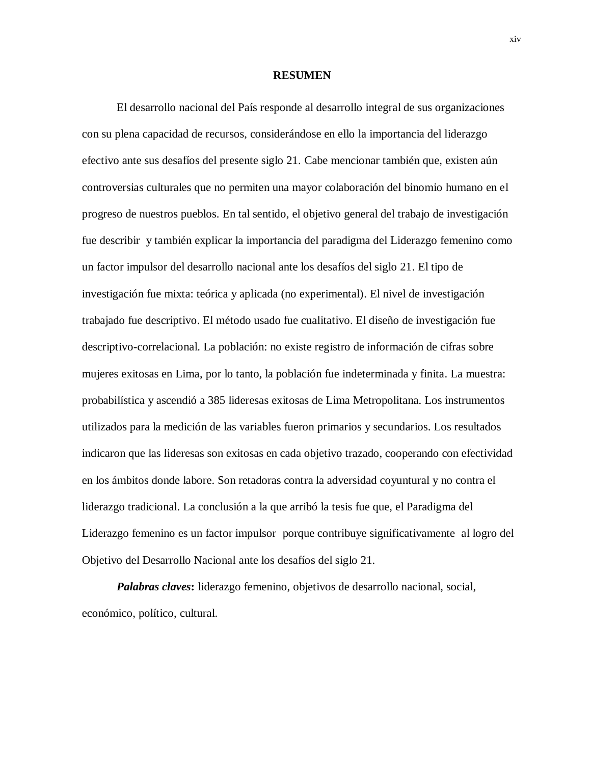#### **RESUMEN**

El desarrollo nacional del País responde al desarrollo integral de sus organizaciones con su plena capacidad de recursos, considerándose en ello la importancia del liderazgo efectivo ante sus desafíos del presente siglo 21. Cabe mencionar también que, existen aún controversias culturales que no permiten una mayor colaboración del binomio humano en el progreso de nuestros pueblos. En tal sentido, el objetivo general del trabajo de investigación fue describir y también explicar la importancia del paradigma del Liderazgo femenino como un factor impulsor del desarrollo nacional ante los desafíos del siglo 21. El tipo de investigación fue mixta: teórica y aplicada (no experimental). El nivel de investigación trabajado fue descriptivo. El método usado fue cualitativo. El diseño de investigación fue descriptivo-correlacional. La población: no existe registro de información de cifras sobre mujeres exitosas en Lima, por lo tanto, la población fue indeterminada y finita. La muestra: probabilística y ascendió a 385 lideresas exitosas de Lima Metropolitana. Los instrumentos utilizados para la medición de las variables fueron primarios y secundarios. Los resultados indicaron que las lideresas son exitosas en cada objetivo trazado, cooperando con efectividad en los ámbitos donde labore. Son retadoras contra la adversidad coyuntural y no contra el liderazgo tradicional. La conclusión a la que arribó la tesis fue que, el Paradigma del Liderazgo femenino es un factor impulsor porque contribuye significativamente al logro del Objetivo del Desarrollo Nacional ante los desafíos del siglo 21.

*Palabras claves***:** liderazgo femenino, objetivos de desarrollo nacional, social, económico, político, cultural.